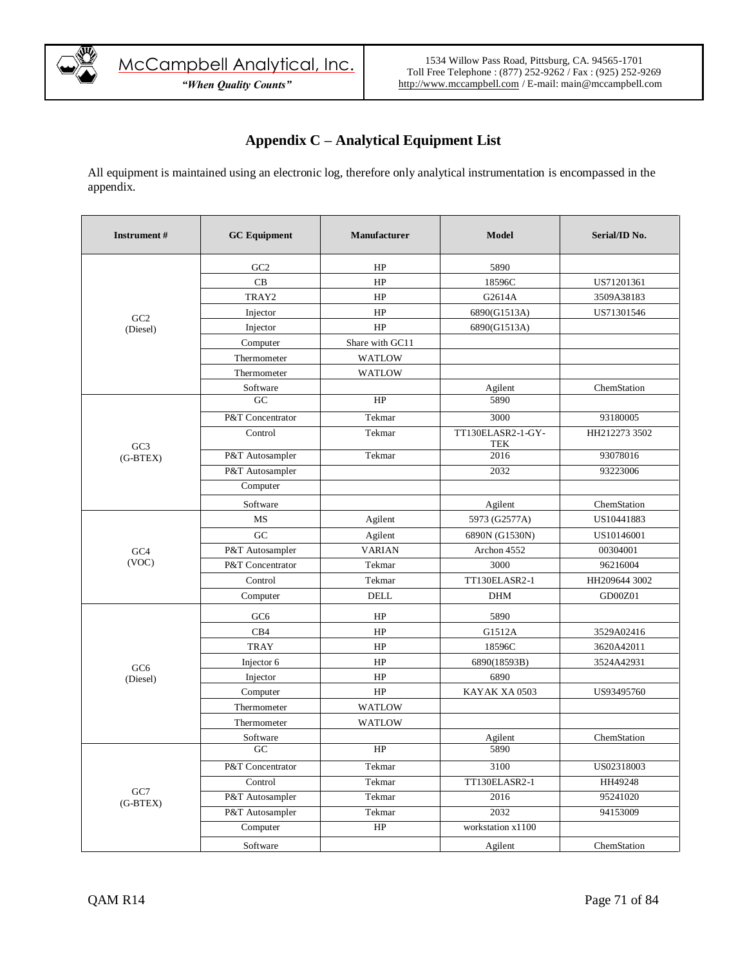

## **Appendix C – Analytical Equipment List**

All equipment is maintained using an electronic log, therefore only analytical instrumentation is encompassed in the appendix.

| <b>Instrument#</b> | <b>GC</b> Equipment | <b>Manufacturer</b> | <b>Model</b>                    | Serial/ID No. |
|--------------------|---------------------|---------------------|---------------------------------|---------------|
|                    | GC <sub>2</sub>     | HP                  | 5890                            |               |
|                    | CB                  | HP                  | 18596C                          | US71201361    |
|                    | TRAY2               | HP                  | G2614A                          | 3509A38183    |
| GC2                | Injector            | HP                  | 6890(G1513A)                    | US71301546    |
| (Diesel)           | Injector            | HP                  | 6890(G1513A)                    |               |
|                    | Computer            | Share with GC11     |                                 |               |
|                    | Thermometer         | <b>WATLOW</b>       |                                 |               |
|                    | Thermometer         | <b>WATLOW</b>       |                                 |               |
|                    | Software            |                     | Agilent                         | ChemStation   |
|                    | GC                  | HP                  | 5890                            |               |
|                    | P&T Concentrator    | Tekmar              | 3000                            | 93180005      |
| GC3                | Control             | Tekmar              | TT130ELASR2-1-GY-<br><b>TEK</b> | HH212273 3502 |
| (G-BTEX)           | P&T Autosampler     | Tekmar              | 2016                            | 93078016      |
|                    | P&T Autosampler     |                     | 2032                            | 93223006      |
|                    | Computer            |                     |                                 |               |
|                    | Software            |                     | Agilent                         | ChemStation   |
|                    | <b>MS</b>           | Agilent             | 5973 (G2577A)                   | US10441883    |
|                    | GC                  | Agilent             | 6890N (G1530N)                  | US10146001    |
| GC <sub>4</sub>    | P&T Autosampler     | <b>VARIAN</b>       | Archon 4552                     | 00304001      |
| (VOC)              | P&T Concentrator    | Tekmar              | 3000                            | 96216004      |
|                    | Control             | Tekmar              | TT130ELASR2-1                   | HH209644 3002 |
|                    | Computer            | <b>DELL</b>         | <b>DHM</b>                      | GD00Z01       |
|                    | GC <sub>6</sub>     | HP                  | 5890                            |               |
|                    | CB4                 | HP                  | G1512A                          | 3529A02416    |
|                    | <b>TRAY</b>         | HP                  | 18596C                          | 3620A42011    |
| GC <sub>6</sub>    | Injector 6          | HP                  | 6890(18593B)                    | 3524A42931    |
| (Diesel)           | Injector            | HP                  | 6890                            |               |
|                    | Computer            | HP                  | KAYAK XA 0503                   | US93495760    |
|                    | Thermometer         | <b>WATLOW</b>       |                                 |               |
|                    | Thermometer         | <b>WATLOW</b>       |                                 |               |
|                    | Software            |                     | Agilent                         | ChemStation   |
|                    | GC                  | HP                  | 5890                            |               |
|                    | P&T Concentrator    | Tekmar              | 3100                            | US02318003    |
| GC7                | Control             | Tekmar              | TT130ELASR2-1                   | HH49248       |
| $(G-BTEX)$         | P&T Autosampler     | Tekmar              | 2016                            | 95241020      |
|                    | P&T Autosampler     | Tekmar              | 2032                            | 94153009      |
|                    | Computer            | HP                  | workstation x1100               |               |
|                    | Software            |                     | Agilent                         | ChemStation   |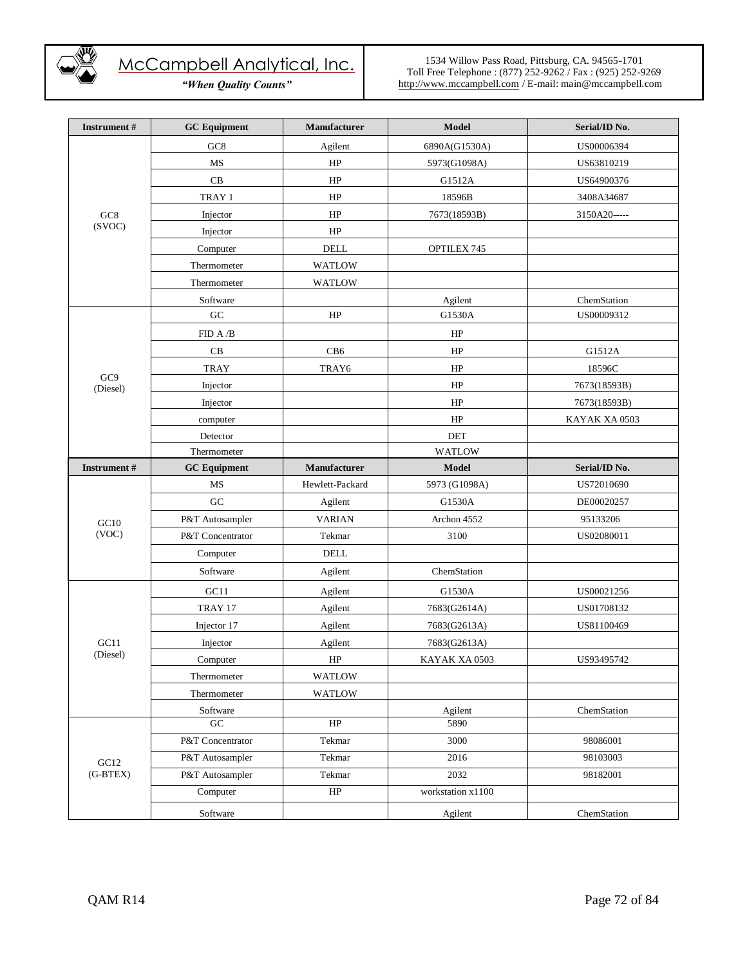

*"When Quality Counts"*

| <b>Instrument</b> #         | <b>GC</b> Equipment | Manufacturer    | Model             | Serial/ID No. |
|-----------------------------|---------------------|-----------------|-------------------|---------------|
|                             | GC <sub>8</sub>     | Agilent         | 6890A(G1530A)     | US00006394    |
|                             | MS                  | HP              | 5973(G1098A)      | US63810219    |
|                             | CB                  | HP              | G1512A            | US64900376    |
|                             | TRAY 1              | HP              | 18596B            | 3408A34687    |
| $_{\mathrm{GC8}}$           | Injector            | HP              | 7673(18593B)      | 3150A20-----  |
| (SVOC)                      | Injector            | HP              |                   |               |
|                             | Computer            | <b>DELL</b>     | OPTILEX 745       |               |
|                             | Thermometer         | <b>WATLOW</b>   |                   |               |
|                             | Thermometer         | <b>WATLOW</b>   |                   |               |
|                             | Software            |                 | Agilent           | ChemStation   |
|                             | ${\rm GC}$          | HP              | G1530A            | US00009312    |
|                             | FID A $/B$          |                 | HP                |               |
|                             | $\rm CB$            | CB6             | HP                | G1512A        |
| GC <sub>9</sub><br>(Diesel) | <b>TRAY</b>         | TRAY6           | HP                | 18596C        |
|                             | Injector            |                 | HP                | 7673(18593B)  |
|                             | Injector            |                 | HP                | 7673(18593B)  |
|                             | computer            |                 | HP                | KAYAK XA 0503 |
|                             | Detector            |                 | <b>DET</b>        |               |
|                             | Thermometer         |                 | WATLOW            |               |
| <b>Instrument</b> #         | <b>GC</b> Equipment | Manufacturer    | <b>Model</b>      | Serial/ID No. |
|                             | MS                  | Hewlett-Packard | 5973 (G1098A)     | US72010690    |
|                             | ${\rm GC}$          | Agilent         | G1530A            | DE00020257    |
| GC10                        | P&T Autosampler     | <b>VARIAN</b>   | Archon 4552       | 95133206      |
| (VOC)                       | P&T Concentrator    | Tekmar          | 3100              | US02080011    |
|                             | Computer            | <b>DELL</b>     |                   |               |
|                             | Software            | Agilent         | ChemStation       |               |
|                             | GC11                | Agilent         | G1530A            | US00021256    |
|                             | TRAY 17             | Agilent         | 7683(G2614A)      | US01708132    |
|                             | Injector 17         | Agilent         | 7683(G2613A)      | US81100469    |
| GCl1                        | Injector            | Agilent         | 7683(G2613A)      |               |
| (Diesel)                    | Computer            | HP              | KAYAK XA 0503     | US93495742    |
|                             | Thermometer         | <b>WATLOW</b>   |                   |               |
|                             | Thermometer         | <b>WATLOW</b>   |                   |               |
|                             | Software            |                 | Agilent           | ChemStation   |
|                             | GC                  | HP              | 5890              |               |
|                             | P&T Concentrator    | Tekmar          | 3000              | 98086001      |
| GCl2                        | P&T Autosampler     | Tekmar          | 2016              | 98103003      |
| $(G-BTEX)$                  | P&T Autosampler     | Tekmar          | 2032              | 98182001      |
|                             | Computer            | $\rm HP$        | workstation x1100 |               |
|                             | Software            |                 | Agilent           | ChemStation   |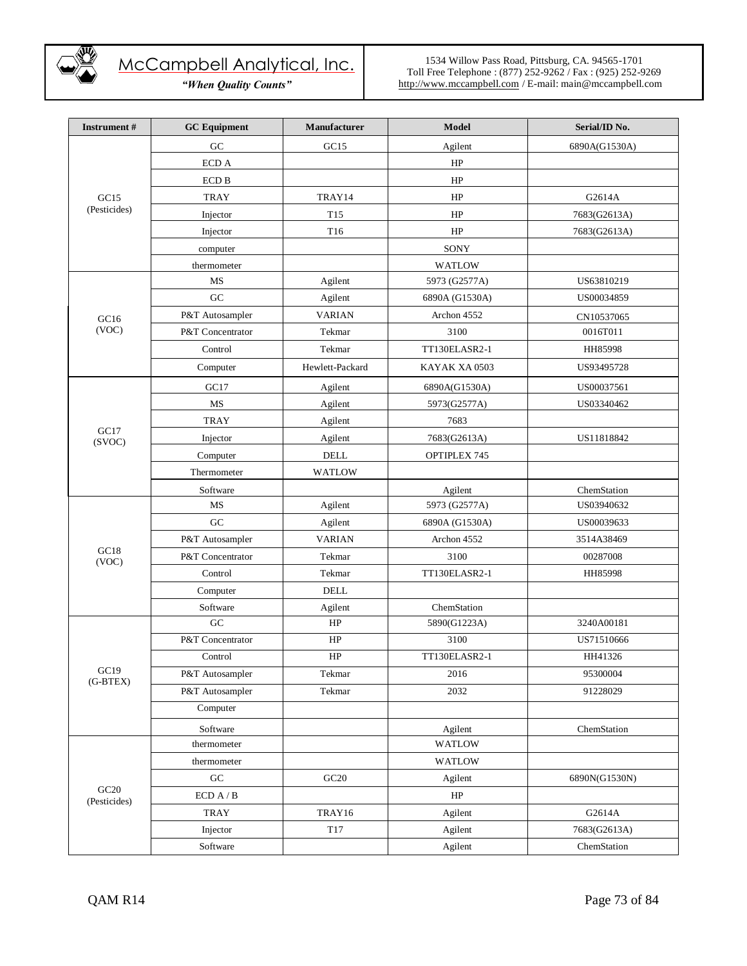

*"When Quality Counts"*

| Instrument#          | <b>GC</b> Equipment | Manufacturer    | Model          | Serial/ID No. |
|----------------------|---------------------|-----------------|----------------|---------------|
|                      | GC                  | GC15            | Agilent        | 6890A(G1530A) |
|                      | ECD A               |                 | HP             |               |
|                      | <b>ECD B</b>        |                 | HP             |               |
| GC15                 | <b>TRAY</b>         | TRAY14          | HP             | G2614A        |
| (Pesticides)         | Injector            | T <sub>15</sub> | HP             | 7683(G2613A)  |
|                      | Injector            | T16             | HP             | 7683(G2613A)  |
|                      | computer            |                 | SONY           |               |
|                      | thermometer         |                 | <b>WATLOW</b>  |               |
|                      | MS                  | Agilent         | 5973 (G2577A)  | US63810219    |
|                      | GC                  | Agilent         | 6890A (G1530A) | US00034859    |
| GCl6                 | P&T Autosampler     | <b>VARIAN</b>   | Archon 4552    | CN10537065    |
| (VOC)                | P&T Concentrator    | Tekmar          | 3100           | 0016T011      |
|                      | Control             | Tekmar          | TT130ELASR2-1  | HH85998       |
|                      | Computer            | Hewlett-Packard | KAYAK XA 0503  | US93495728    |
|                      | GC17                | Agilent         | 6890A(G1530A)  | US00037561    |
|                      | MS                  | Agilent         | 5973(G2577A)   | US03340462    |
|                      | <b>TRAY</b>         | Agilent         | 7683           |               |
| GC17<br>(SVOC)       | Injector            | Agilent         | 7683(G2613A)   | US11818842    |
|                      | Computer            | <b>DELL</b>     | OPTIPLEX 745   |               |
|                      | Thermometer         | <b>WATLOW</b>   |                |               |
|                      | Software            |                 | Agilent        | ChemStation   |
|                      | MS                  | Agilent         | 5973 (G2577A)  | US03940632    |
|                      | GC                  | Agilent         | 6890A (G1530A) | US00039633    |
|                      | P&T Autosampler     | <b>VARIAN</b>   | Archon 4552    | 3514A38469    |
| GC18<br>(VOC)        | P&T Concentrator    | Tekmar          | 3100           | 00287008      |
|                      | Control             | Tekmar          | TT130ELASR2-1  | HH85998       |
|                      | Computer            | $\rm DELL$      |                |               |
|                      | Software            | Agilent         | ChemStation    |               |
|                      | ${\rm GC}$          | HP              | 5890(G1223A)   | 3240A00181    |
|                      | P&T Concentrator    | HP              | 3100           | US71510666    |
|                      | Control             | HP              | TT130ELASR2-1  | HH41326       |
| GC19<br>$(G-BTEX)$   | P&T Autosampler     | Tekmar          | 2016           | 95300004      |
|                      | P&T Autosampler     | Tekmar          | 2032           | 91228029      |
|                      | Computer            |                 |                |               |
|                      | Software            |                 | Agilent        | ChemStation   |
|                      | thermometer         |                 | <b>WATLOW</b>  |               |
|                      | thermometer         |                 | <b>WATLOW</b>  |               |
|                      | ${\rm GC}$          | GC20            | Agilent        | 6890N(G1530N) |
| GC20<br>(Pesticides) | ECD A / B           |                 | HP             |               |
|                      | <b>TRAY</b>         | TRAY16          | Agilent        | G2614A        |
|                      | Injector            | T17             | Agilent        | 7683(G2613A)  |
|                      | Software            |                 | Agilent        | ChemStation   |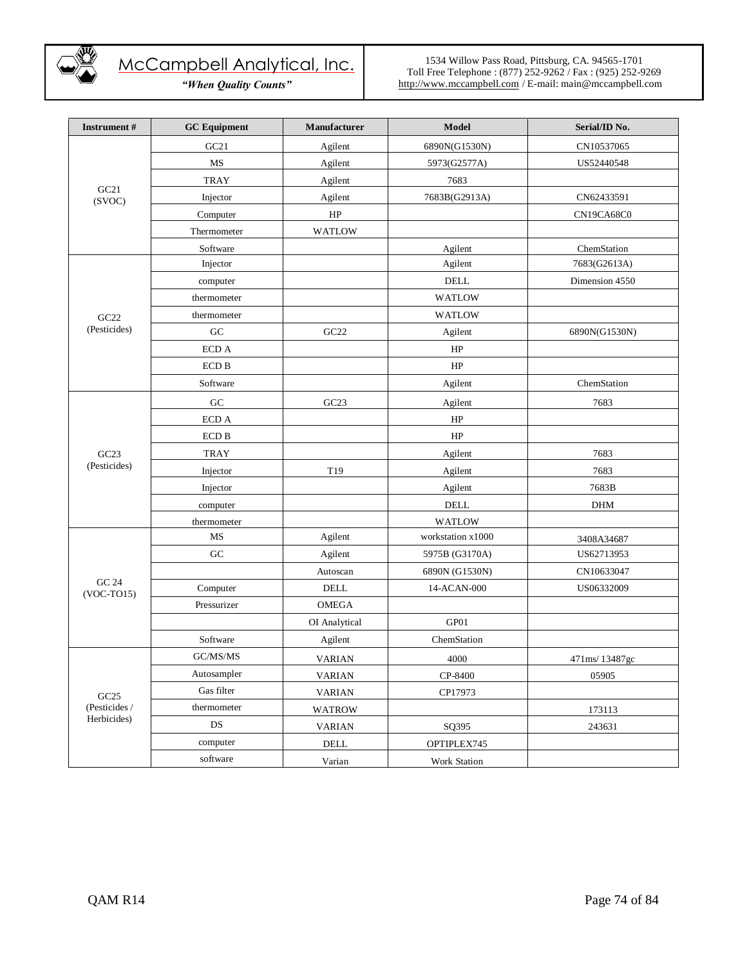

*"When Quality Counts"*

| <b>Instrument#</b>    | <b>GC</b> Equipment | <b>Manufacturer</b> | Model               | Serial/ID No.  |
|-----------------------|---------------------|---------------------|---------------------|----------------|
|                       | GC21                | Agilent             | 6890N(G1530N)       | CN10537065     |
|                       | MS                  | Agilent             | 5973(G2577A)        | US52440548     |
|                       | <b>TRAY</b>         | Agilent             | 7683                |                |
| GC21<br>(SVOC)        | Injector            | Agilent             | 7683B(G2913A)       | CN62433591     |
|                       | Computer            | HP                  |                     | CN19CA68C0     |
|                       | Thermometer         | WATLOW              |                     |                |
|                       | Software            |                     | Agilent             | ChemStation    |
|                       | Injector            |                     | Agilent             | 7683(G2613A)   |
|                       | computer            |                     | <b>DELL</b>         | Dimension 4550 |
|                       | thermometer         |                     | WATLOW              |                |
| GC22                  | thermometer         |                     | <b>WATLOW</b>       |                |
| (Pesticides)          | GC                  | GC22                | Agilent             | 6890N(G1530N)  |
|                       | $\rm ECD$ A         |                     | HP                  |                |
|                       | <b>ECD B</b>        |                     | HP                  |                |
|                       | Software            |                     | Agilent             | ChemStation    |
|                       | ${\rm GC}$          | GC <sub>23</sub>    | Agilent             | 7683           |
|                       | ECD A               |                     | HP                  |                |
|                       | $\rm ECD$ B         |                     | HP                  |                |
| GC23                  | <b>TRAY</b>         |                     | Agilent             | 7683           |
| (Pesticides)          | Injector            | T19                 | Agilent             | 7683           |
|                       | Injector            |                     | Agilent             | 7683B          |
|                       | computer            |                     | <b>DELL</b>         | <b>DHM</b>     |
|                       | thermometer         |                     | <b>WATLOW</b>       |                |
|                       | MS                  | Agilent             | workstation x1000   | 3408A34687     |
|                       | ${\rm GC}$          | Agilent             | 5975B (G3170A)      | US62713953     |
|                       |                     | Autoscan            | 6890N (G1530N)      | CN10633047     |
| GC 24<br>$(VOC-TO15)$ | Computer            | DELL                | 14-ACAN-000         | US06332009     |
|                       | Pressurizer         | <b>OMEGA</b>        |                     |                |
|                       |                     | OI Analytical       | GP01                |                |
|                       | Software            | Agilent             | ChemStation         |                |
|                       | GC/MS/MS            | <b>VARIAN</b>       | 4000                | 471ms/13487gc  |
|                       | Autosampler         | <b>VARIAN</b>       | CP-8400             | 05905          |
| GC25                  | Gas filter          | <b>VARIAN</b>       | CP17973             |                |
| (Pesticides /         | thermometer         | <b>WATROW</b>       |                     | 173113         |
| Herbicides)           | DS                  | <b>VARIAN</b>       | SQ395               | 243631         |
|                       | computer            | $\rm DELL$          | OPTIPLEX745         |                |
|                       | software            | Varian              | <b>Work Station</b> |                |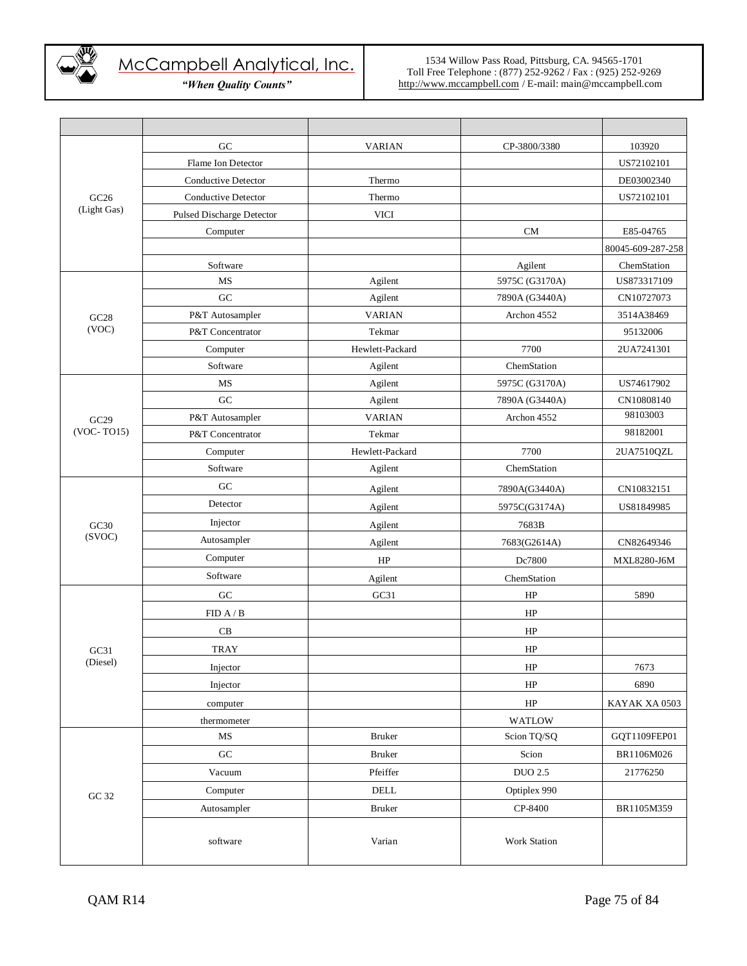

*"When Quality Counts"*

|              | GC                         | <b>VARIAN</b>   | CP-3800/3380   | 103920            |
|--------------|----------------------------|-----------------|----------------|-------------------|
|              | Flame Ion Detector         |                 |                | US72102101        |
|              | <b>Conductive Detector</b> | Thermo          |                | DE03002340        |
| GC26         | Conductive Detector        | Thermo          |                | US72102101        |
| (Light Gas)  | Pulsed Discharge Detector  | <b>VICI</b>     |                |                   |
|              | Computer                   |                 | <b>CM</b>      | E85-04765         |
|              |                            |                 |                | 80045-609-287-258 |
|              | Software                   |                 | Agilent        | ChemStation       |
|              | MS                         | Agilent         | 5975C (G3170A) | US873317109       |
|              | GC                         | Agilent         | 7890A (G3440A) | CN10727073        |
| GC28         | P&T Autosampler            | <b>VARIAN</b>   | Archon 4552    | 3514A38469        |
| (VOC)        | P&T Concentrator           | Tekmar          |                | 95132006          |
|              | Computer                   | Hewlett-Packard | 7700           | 2UA7241301        |
|              | Software                   | Agilent         | ChemStation    |                   |
|              | MS                         | Agilent         | 5975C (G3170A) | US74617902        |
|              | GC                         | Agilent         | 7890A (G3440A) | CN10808140        |
| GC29         | P&T Autosampler            | <b>VARIAN</b>   | Archon 4552    | 98103003          |
| $(VOC-TO15)$ | P&T Concentrator           | Tekmar          |                | 98182001          |
|              | Computer                   | Hewlett-Packard | 7700           | 2UA7510QZL        |
|              | Software                   | Agilent         | ChemStation    |                   |
|              | GC                         | Agilent         | 7890A(G3440A)  | CN10832151        |
|              | Detector                   | Agilent         | 5975C(G3174A)  | US81849985        |
| GC30         | Injector                   | Agilent         | 7683B          |                   |
| (SVOC)       | Autosampler                | Agilent         | 7683(G2614A)   | CN82649346        |
|              | Computer                   | HP              | Dc7800         | MXL8280-J6M       |
|              | Software                   | Agilent         | ChemStation    |                   |
|              | GC                         | GC31            | HP             | 5890              |
|              | FID A / B                  |                 | HP             |                   |
|              | CB                         |                 | HP             |                   |
| GC31         | <b>TRAY</b>                |                 | HP             |                   |
| (Diesel)     | Injector                   |                 | HP             | 7673              |
|              | Injector                   |                 | HP             | 6890              |
|              | computer                   |                 | HP             | KAYAK XA 0503     |
|              | thermometer                |                 | WATLOW         |                   |
|              | $\rm MS$                   | <b>Bruker</b>   | Scion TQ/SQ    | GQT1109FEP01      |
|              | ${\rm GC}$                 | Bruker          | Scion          | BR1106M026        |
|              | Vacuum                     | Pfeiffer        | <b>DUO 2.5</b> | 21776250          |
|              | Computer                   | DELL            | Optiplex 990   |                   |
| GC 32        | Autosampler                | Bruker          | CP-8400        | BR1105M359        |
|              |                            |                 |                |                   |
|              | software                   | Varian          | Work Station   |                   |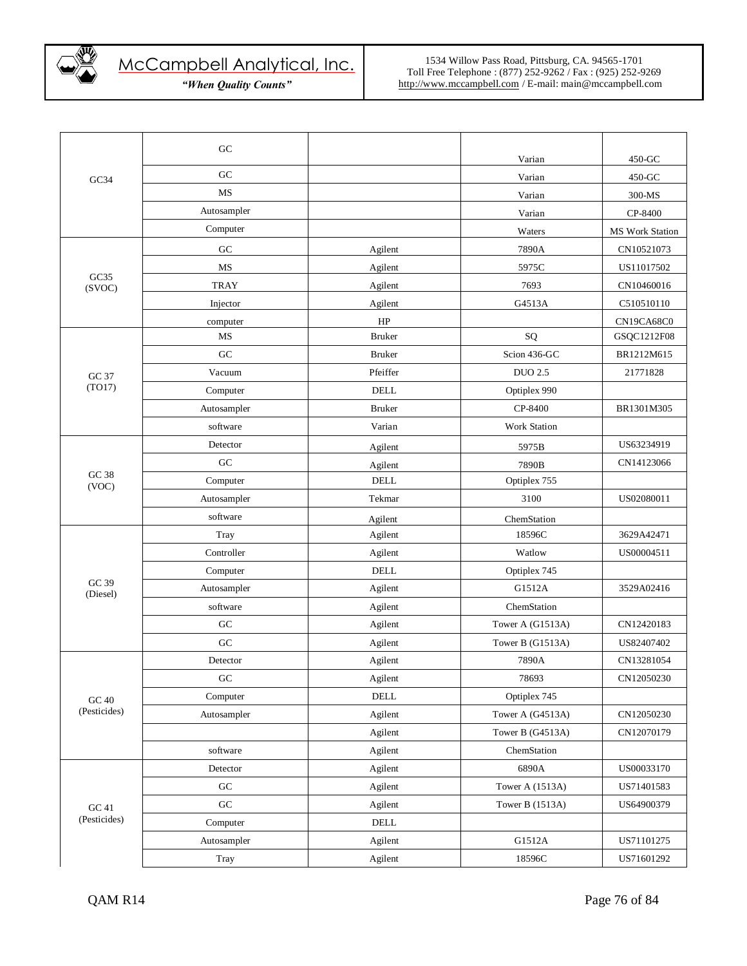

|                   | GC          |               |                     |                 |
|-------------------|-------------|---------------|---------------------|-----------------|
|                   |             |               | Varian              | $450 - GC$      |
| GC34              | GC          |               | Varian              | 450-GC          |
|                   | <b>MS</b>   |               | Varian              | 300-MS          |
|                   | Autosampler |               | Varian              | CP-8400         |
|                   | Computer    |               | Waters              | MS Work Station |
|                   | ${\rm GC}$  | Agilent       | 7890A               | CN10521073      |
|                   | MS          | Agilent       | 5975C               | US11017502      |
| GC35<br>(SVOC)    | <b>TRAY</b> | Agilent       | 7693                | CN10460016      |
|                   | Injector    | Agilent       | G4513A              | C510510110      |
|                   | computer    | HP            |                     | CN19CA68C0      |
|                   | MS          | <b>Bruker</b> | SQ                  | GSQC1212F08     |
|                   | GC          | <b>Bruker</b> | Scion 436-GC        | BR1212M615      |
| GC 37             | Vacuum      | Pfeiffer      | <b>DUO 2.5</b>      | 21771828        |
| (TO17)            | Computer    | <b>DELL</b>   | Optiplex 990        |                 |
|                   | Autosampler | <b>Bruker</b> | CP-8400             | BR1301M305      |
|                   | software    | Varian        | <b>Work Station</b> |                 |
|                   | Detector    | Agilent       | 5975B               | US63234919      |
|                   | GC          | Agilent       | 7890B               | CN14123066      |
| GC 38<br>(VOC)    | Computer    | $\rm DELL$    | Optiplex 755        |                 |
|                   | Autosampler | Tekmar        | 3100                | US02080011      |
|                   | software    | Agilent       | ChemStation         |                 |
|                   | Tray        | Agilent       | 18596C              | 3629A42471      |
|                   | Controller  | Agilent       | Watlow              | US00004511      |
|                   | Computer    | DELL          | Optiplex 745        |                 |
| GC 39<br>(Diesel) | Autosampler | Agilent       | G1512A              | 3529A02416      |
|                   | software    | Agilent       | ChemStation         |                 |
|                   | GC          | Agilent       | Tower A (G1513A)    | CN12420183      |
|                   | GC          | Agilent       | Tower B (G1513A)    | US82407402      |
|                   | Detector    | Agilent       | 7890A               | CN13281054      |
|                   | GC          | Agilent       | 78693               | CN12050230      |
| GC 40             | Computer    | <b>DELL</b>   | Optiplex 745        |                 |
| (Pesticides)      | Autosampler | Agilent       | Tower A (G4513A)    | CN12050230      |
|                   |             | Agilent       | Tower B (G4513A)    | CN12070179      |
|                   | software    | Agilent       | ChemStation         |                 |
|                   | Detector    | Agilent       | 6890A               | US00033170      |
|                   | ${\rm GC}$  | Agilent       | Tower A (1513A)     | US71401583      |
| GC 41             | ${\rm GC}$  | Agilent       | Tower B (1513A)     | US64900379      |
| (Pesticides)      | Computer    | $\rm DELL$    |                     |                 |
|                   | Autosampler | Agilent       | G1512A              | US71101275      |
|                   | Tray        | Agilent       | 18596C              | US71601292      |
|                   |             |               |                     |                 |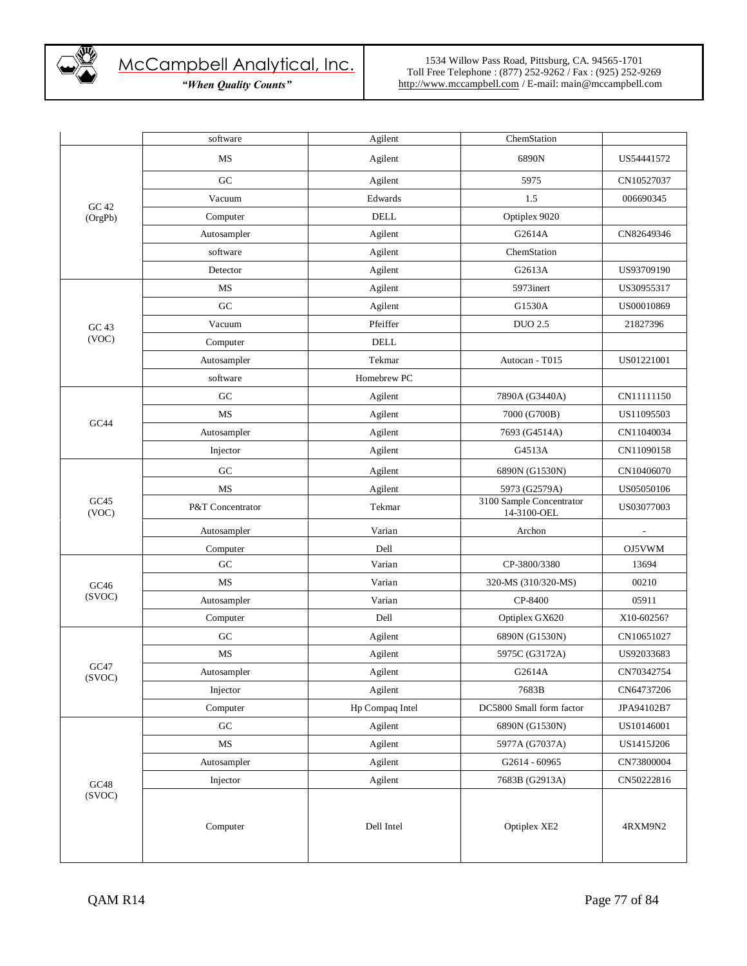

|                | software         | Agilent         | ChemStation                             |            |
|----------------|------------------|-----------------|-----------------------------------------|------------|
|                | MS               | Agilent         | 6890N                                   | US54441572 |
|                | GC               | Agilent         | 5975                                    | CN10527037 |
| GC42           | Vacuum           | Edwards         | 1.5                                     | 006690345  |
| (OrgPb)        | Computer         | <b>DELL</b>     | Optiplex 9020                           |            |
|                | Autosampler      | Agilent         | G2614A                                  | CN82649346 |
|                | software         | Agilent         | ChemStation                             |            |
|                | Detector         | Agilent         | G2613A                                  | US93709190 |
|                | MS               | Agilent         | 5973inert                               | US30955317 |
|                | ${\rm GC}$       | Agilent         | G1530A                                  | US00010869 |
| GC 43          | Vacuum           | Pfeiffer        | <b>DUO 2.5</b>                          | 21827396   |
| (VOC)          | Computer         | $\rm DELL$      |                                         |            |
|                | Autosampler      | Tekmar          | Autocan - T015                          | US01221001 |
|                | software         | Homebrew PC     |                                         |            |
|                | ${\rm GC}$       | Agilent         | 7890A (G3440A)                          | CN11111150 |
|                | MS               | Agilent         | 7000 (G700B)                            | US11095503 |
| GC44           | Autosampler      | Agilent         | 7693 (G4514A)                           | CN11040034 |
|                | Injector         | Agilent         | G4513A                                  | CN11090158 |
|                | GC               | Agilent         | 6890N (G1530N)                          | CN10406070 |
|                | MS               | Agilent         | 5973 (G2579A)                           | US05050106 |
| GC45<br>(VOC)  | P&T Concentrator | Tekmar          | 3100 Sample Concentrator<br>14-3100-OEL | US03077003 |
|                | Autosampler      | Varian          | Archon                                  |            |
|                | Computer         | Dell            |                                         | OJ5VWM     |
|                | ${\rm GC}$       | Varian          | CP-3800/3380                            | 13694      |
| GC46           | MS               | Varian          | 320-MS (310/320-MS)                     | 00210      |
| (SVOC)         | Autosampler      | Varian          | CP-8400                                 | 05911      |
|                | Computer         | Dell            | Optiplex GX620                          | X10-60256? |
|                | GC               | Agilent         | 6890N (G1530N)                          | CN10651027 |
|                | MS               | Agilent         | 5975C (G3172A)                          | US92033683 |
| GC47<br>(SVOC) | Autosampler      | Agilent         | G2614A                                  | CN70342754 |
|                | Injector         | Agilent         | 7683B                                   | CN64737206 |
|                | Computer         | Hp Compaq Intel | DC5800 Small form factor                | JPA94102B7 |
|                | ${\rm GC}$       | Agilent         | 6890N (G1530N)                          | US10146001 |
|                | $\rm MS$         | Agilent         | 5977A (G7037A)                          | US1415J206 |
|                | Autosampler      | Agilent         | G2614 - 60965                           | CN73800004 |
| GC48           | Injector         | Agilent         | 7683B (G2913A)                          | CN50222816 |
| (SVOC)         | Computer         | Dell Intel      | Optiplex XE2                            | 4RXM9N2    |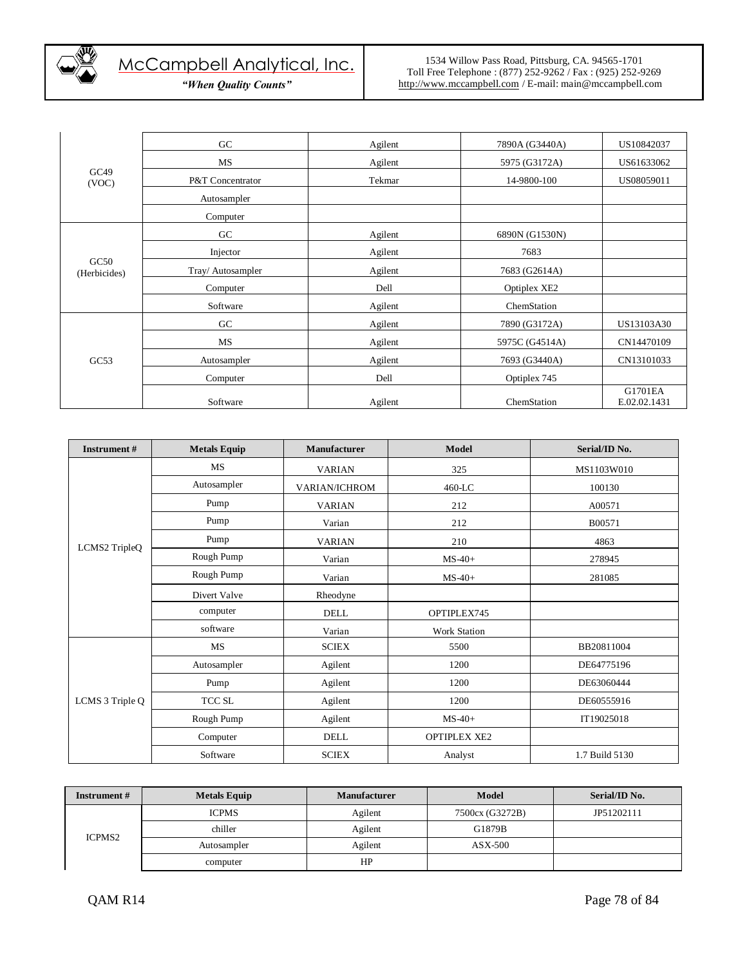

| GC49<br>(VOC)        | GC                | Agilent | 7890A (G3440A) | US10842037              |
|----------------------|-------------------|---------|----------------|-------------------------|
|                      | MS                | Agilent | 5975 (G3172A)  | US61633062              |
|                      | P&T Concentrator  | Tekmar  | 14-9800-100    | US08059011              |
|                      | Autosampler       |         |                |                         |
|                      | Computer          |         |                |                         |
|                      | G <sub>C</sub>    | Agilent | 6890N (G1530N) |                         |
|                      | Injector          | Agilent | 7683           |                         |
| GC50<br>(Herbicides) | Tray/ Autosampler | Agilent | 7683 (G2614A)  |                         |
|                      | Computer          | Dell    | Optiplex XE2   |                         |
|                      | Software          | Agilent | ChemStation    |                         |
|                      | GC                | Agilent | 7890 (G3172A)  | US13103A30              |
|                      | MS                | Agilent | 5975C (G4514A) | CN14470109              |
| GC53                 | Autosampler       | Agilent | 7693 (G3440A)  | CN13101033              |
|                      | Computer          | Dell    | Optiplex 745   |                         |
|                      | Software          | Agilent | ChemStation    | G1701EA<br>E.02.02.1431 |

| Instrument #    | <b>Metals Equip</b> | <b>Manufacturer</b>  | <b>Model</b>        | Serial/ID No.  |
|-----------------|---------------------|----------------------|---------------------|----------------|
|                 | <b>MS</b>           | <b>VARIAN</b>        | 325                 | MS1103W010     |
|                 | Autosampler         | <b>VARIAN/ICHROM</b> | 460-LC              | 100130         |
|                 | Pump                | <b>VARIAN</b>        | 212                 | A00571         |
|                 | Pump                | Varian               | 212                 | B00571         |
| LCMS2 TripleQ   | Pump                | <b>VARIAN</b>        | 210                 | 4863           |
|                 | Rough Pump          | Varian               | $MS-40+$            | 278945         |
|                 | Rough Pump          | Varian               | $MS-40+$            | 281085         |
|                 | Divert Valve        | Rheodyne             |                     |                |
|                 | computer            | <b>DELL</b>          | OPTIPLEX745         |                |
|                 | software            | Varian               | <b>Work Station</b> |                |
|                 | MS                  | <b>SCIEX</b>         | 5500                | BB20811004     |
|                 | Autosampler         | Agilent              | 1200                | DE64775196     |
|                 | Pump                | Agilent              | 1200                | DE63060444     |
| LCMS 3 Triple Q | TCC SL              | Agilent              | 1200                | DE60555916     |
|                 | Rough Pump          | Agilent              | $MS-40+$            | IT19025018     |
|                 | Computer            | DELL                 | <b>OPTIPLEX XE2</b> |                |
|                 | Software            | <b>SCIEX</b>         | Analyst             | 1.7 Build 5130 |

| <b>Instrument</b> # | <b>Metals Equip</b> | <b>Manufacturer</b> | Model                       | Serial/ID No. |
|---------------------|---------------------|---------------------|-----------------------------|---------------|
| <b>ICPMS2</b>       | <b>ICPMS</b>        | Agilent             | 7500cx (G3272B)             | JP51202111    |
|                     | chiller             | Agilent             | G1879B                      |               |
|                     | Autosampler         | Agilent             | $\overline{\text{ASX-500}}$ |               |
|                     | computer            | HP                  |                             |               |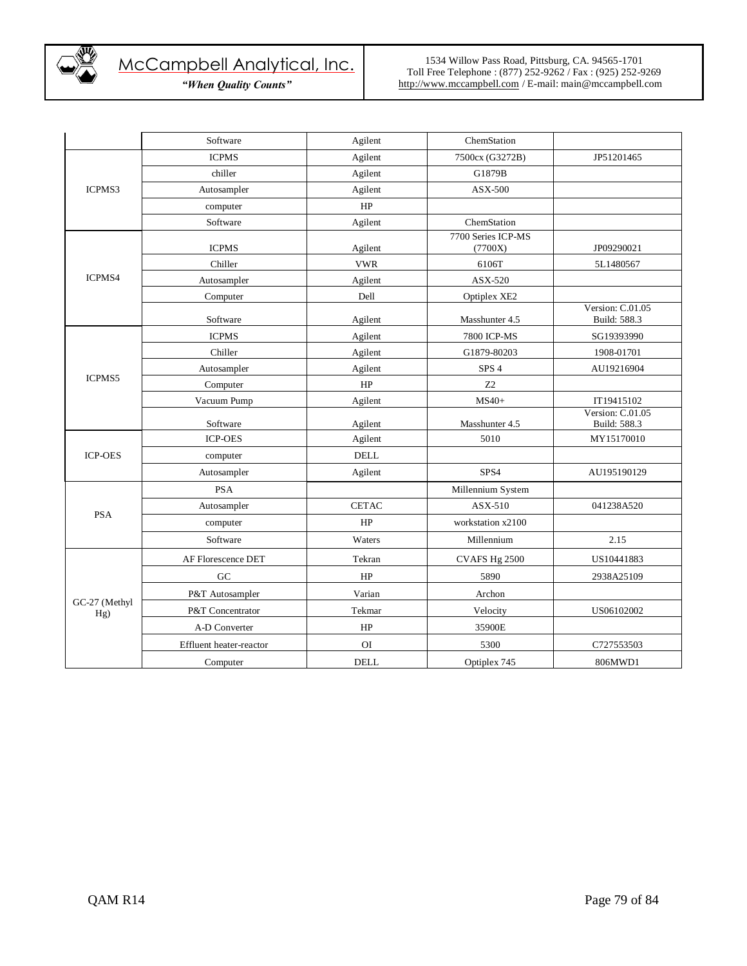

|                      | Software                | Agilent        | ChemStation                   |                                  |
|----------------------|-------------------------|----------------|-------------------------------|----------------------------------|
|                      | <b>ICPMS</b>            | Agilent        | 7500cx (G3272B)               | JP51201465                       |
| ICPMS3               | chiller                 | Agilent        | G1879B                        |                                  |
|                      | Autosampler             | Agilent        | $\overline{\text{ASX-500}}$   |                                  |
|                      | computer                | HP             |                               |                                  |
|                      | Software                | Agilent        | ChemStation                   |                                  |
|                      | <b>ICPMS</b>            | Agilent        | 7700 Series ICP-MS<br>(7700X) | JP09290021                       |
|                      | Chiller                 | <b>VWR</b>     | 6106T                         | 5L1480567                        |
| ICPMS4               | Autosampler             | Agilent        | ASX-520                       |                                  |
|                      | Computer                | Dell           | Optiplex XE2                  |                                  |
|                      | Software                | Agilent        | Masshunter 4.5                | Version: C.01.05<br>Build: 588.3 |
|                      | <b>ICPMS</b>            | Agilent        | 7800 ICP-MS                   | SG19393990                       |
|                      | Chiller                 | Agilent        | G1879-80203                   | 1908-01701                       |
|                      | Autosampler             | Agilent        | SPS <sub>4</sub>              | AU19216904                       |
| ICPMS5               | Computer                | HP             | Z <sub>2</sub>                |                                  |
|                      | Vacuum Pump             | Agilent        | $MS40+$                       | IT19415102                       |
|                      | Software                | Agilent        | Masshunter 4.5                | Version: C.01.05<br>Build: 588.3 |
|                      | <b>ICP-OES</b>          | Agilent        | 5010                          | MY15170010                       |
| <b>ICP-OES</b>       | computer                | <b>DELL</b>    |                               |                                  |
|                      | Autosampler             | Agilent        | SPS4                          | AU195190129                      |
|                      | <b>PSA</b>              |                | Millennium System             |                                  |
|                      | Autosampler             | <b>CETAC</b>   | ASX-510                       | 041238A520                       |
| <b>PSA</b>           | computer                | HP             | workstation x2100             |                                  |
|                      | Software                | Waters         | Millennium                    | 2.15                             |
|                      | AF Florescence DET      | Tekran         | CVAFS Hg 2500                 | US10441883                       |
|                      | GC                      | HP             | 5890                          | 2938A25109                       |
|                      | P&T Autosampler         | Varian         | Archon                        |                                  |
| GC-27 (Methyl<br>Hg) | P&T Concentrator        | Tekmar         | Velocity                      | US06102002                       |
|                      | A-D Converter           | HP             | 35900E                        |                                  |
|                      | Effluent heater-reactor | O <sub>I</sub> | 5300                          | C727553503                       |
|                      | Computer                | <b>DELL</b>    | Optiplex 745                  | 806MWD1                          |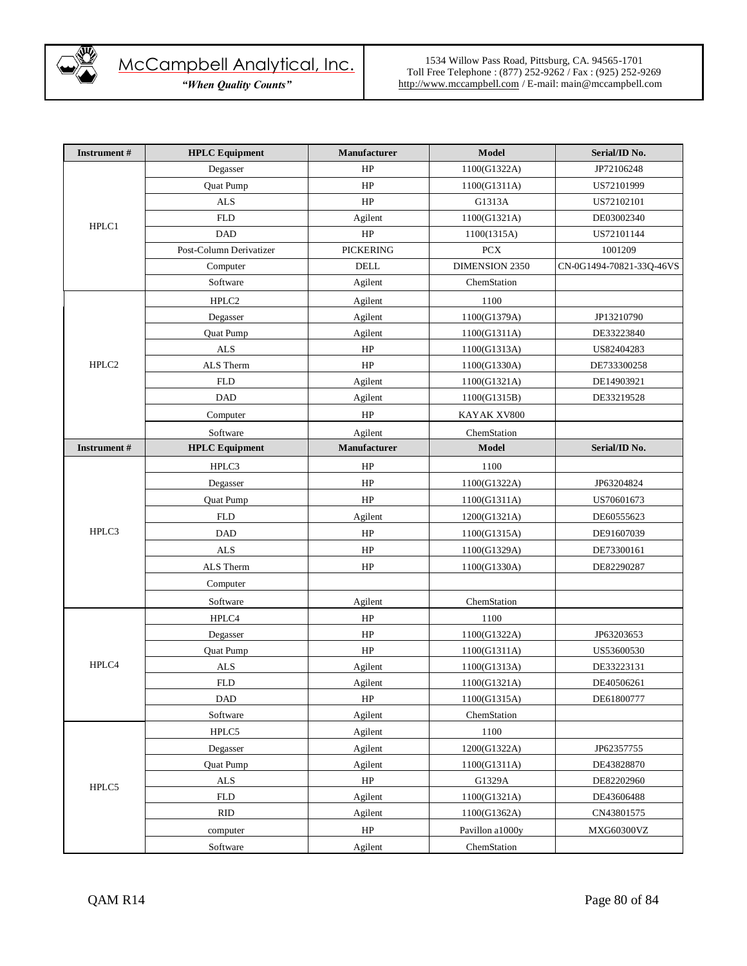

| <b>Instrument</b> # | <b>HPLC</b> Equipment       | <b>Manufacturer</b> | <b>Model</b>    | Serial/ID No.            |
|---------------------|-----------------------------|---------------------|-----------------|--------------------------|
|                     | Degasser                    | HP                  | 1100(G1322A)    | JP72106248               |
|                     | Quat Pump                   | HP                  | 1100(G1311A)    | US72101999               |
|                     | <b>ALS</b>                  | $\rm HP$            | G1313A          | US72102101               |
| HPLC1               | <b>FLD</b>                  | Agilent             | 1100(G1321A)    | DE03002340               |
|                     | <b>DAD</b>                  | HP                  | 1100(1315A)     | US72101144               |
|                     | Post-Column Derivatizer     | <b>PICKERING</b>    | ${\mbox{PCX}}$  | 1001209                  |
|                     | Computer                    | $\rm DELL$          | DIMENSION 2350  | CN-0G1494-70821-33O-46VS |
|                     | Software                    | Agilent             | ChemStation     |                          |
|                     | HPLC <sub>2</sub>           | Agilent             | 1100            |                          |
|                     | Degasser                    | Agilent             | 1100(G1379A)    | JP13210790               |
|                     | Quat Pump                   | Agilent             | 1100(G1311A)    | DE33223840               |
|                     | $\ensuremath{\mathbf{ALS}}$ | $\rm HP$            | 1100(G1313A)    | US82404283               |
| HPLC <sub>2</sub>   | ALS Therm                   | HP                  | 1100(G1330A)    | DE733300258              |
|                     | <b>FLD</b>                  | Agilent             | 1100(G1321A)    | DE14903921               |
|                     | DAD                         | Agilent             | 1100(G1315B)    | DE33219528               |
|                     | Computer                    | HP                  | KAYAK XV800     |                          |
|                     | Software                    | Agilent             | ChemStation     |                          |
| <b>Instrument</b> # | <b>HPLC</b> Equipment       | Manufacturer        | <b>Model</b>    | Serial/ID No.            |
|                     | HPLC3                       | HP                  | 1100            |                          |
|                     | Degasser                    | HP                  | 1100(G1322A)    | JP63204824               |
|                     | Quat Pump                   | $\rm HP$            | 1100(G1311A)    | US70601673               |
|                     | <b>FLD</b>                  | Agilent             | 1200(G1321A)    | DE60555623               |
| HPLC3               | DAD                         | HP                  | 1100(G1315A)    | DE91607039               |
|                     | <b>ALS</b>                  | HP                  | 1100(G1329A)    | DE73300161               |
|                     | ALS Therm                   | HP                  | 1100(G1330A)    | DE82290287               |
|                     | Computer                    |                     |                 |                          |
|                     | Software                    | Agilent             | ChemStation     |                          |
|                     | HPLC4                       | HP                  | 1100            |                          |
|                     | Degasser                    | HP                  | 1100(G1322A)    | JP63203653               |
|                     | Quat Pump                   | HP                  | 1100(G1311A)    | US53600530               |
| HPLC4               | <b>ALS</b>                  | Agilent             | 1100(G1313A)    | DE33223131               |
|                     | <b>FLD</b>                  | Agilent             | 1100(G1321A)    | DE40506261               |
|                     | <b>DAD</b>                  | $\rm HP$            | 1100(G1315A)    | DE61800777               |
|                     | Software                    | Agilent             | ChemStation     |                          |
|                     | HPLC5                       | Agilent             | 1100            |                          |
|                     | Degasser                    | Agilent             | 1200(G1322A)    | JP62357755               |
|                     | Quat Pump                   | Agilent             | 1100(G1311A)    | DE43828870               |
|                     | <b>ALS</b>                  | HP                  | G1329A          | DE82202960               |
| HPLC5               | <b>FLD</b>                  | Agilent             | 1100(G1321A)    | DE43606488               |
|                     | <b>RID</b>                  | Agilent             | 1100(G1362A)    | CN43801575               |
|                     | computer                    | HP                  | Pavillon a1000y | MXG60300VZ               |
|                     | Software                    | Agilent             | ChemStation     |                          |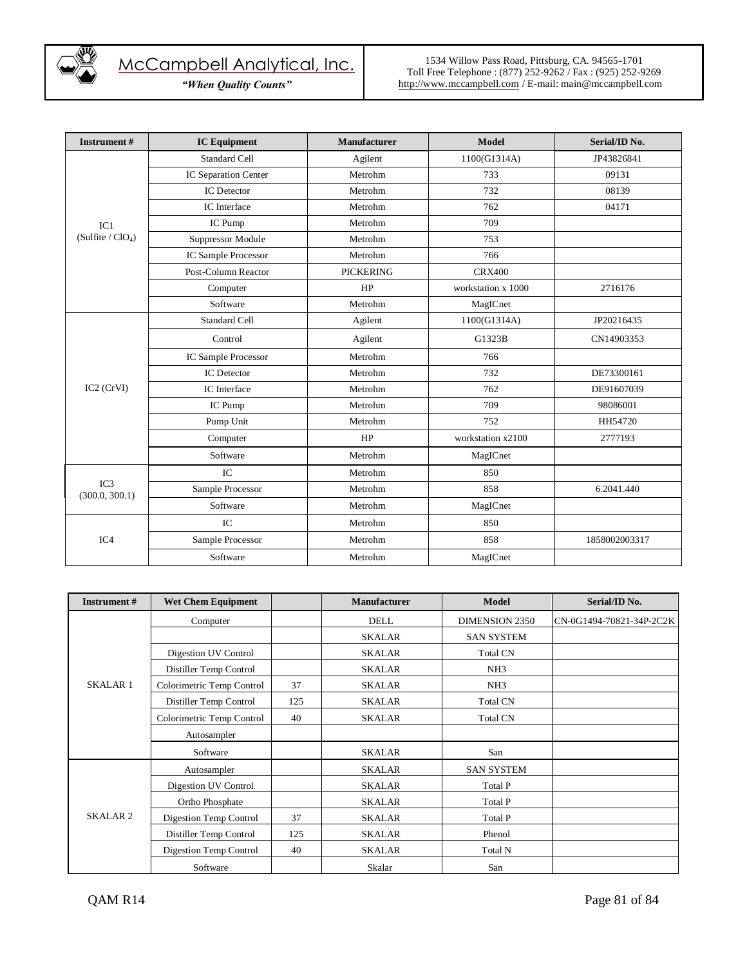

| <b>Instrument#</b>                   | <b>IC Equipment</b>        | <b>Manufacturer</b> | Model              | Serial/ID No. |
|--------------------------------------|----------------------------|---------------------|--------------------|---------------|
| IC1<br>(Sulfite / ClO <sub>4</sub> ) | <b>Standard Cell</b>       | Agilent             | 1100(G1314A)       | JP43826841    |
|                                      | IC Separation Center       | Metrohm             | 733                | 09131         |
|                                      | <b>IC</b> Detector         | Metrohm             | 732                | 08139         |
|                                      | IC Interface               | Metrohm             | 762                | 04171         |
|                                      | IC Pump                    | Metrohm             | 709                |               |
|                                      | Suppressor Module          | Metrohm             | 753                |               |
|                                      | <b>IC Sample Processor</b> | Metrohm             | 766                |               |
|                                      | Post-Column Reactor        | <b>PICKERING</b>    | <b>CRX400</b>      |               |
|                                      | Computer                   | HP                  | workstation x 1000 | 2716176       |
|                                      | Software                   | Metrohm             | MagICnet           |               |
|                                      | <b>Standard Cell</b>       | Agilent             | 1100(G1314A)       | JP20216435    |
|                                      | Control                    | Agilent             | G1323B             | CN14903353    |
|                                      | IC Sample Processor        | Metrohm             | 766                |               |
|                                      | <b>IC</b> Detector         | Metrohm             | 732                | DE73300161    |
| IC2 (CrVI)                           | IC Interface               | Metrohm             | 762                | DE91607039    |
|                                      | IC Pump                    | Metrohm             | 709                | 98086001      |
|                                      | Pump Unit                  | Metrohm             | 752                | HH54720       |
|                                      | Computer                   | HP                  | workstation x2100  | 2777193       |
|                                      | Software                   | Metrohm             | MagICnet           |               |
| IC3<br>(300.0, 300.1)                | IC                         | Metrohm             | 850                |               |
|                                      | Sample Processor           | Metrohm             | 858                | 6.2041.440    |
|                                      | Software                   | Metrohm             | MagICnet           |               |
|                                      | IC                         | Metrohm             | 850                |               |
| IC <sub>4</sub>                      | Sample Processor           | Metrohm             | 858                | 1858002003317 |
|                                      | Software                   | Metrohm             | MagICnet           |               |

| <b>Instrument</b> # | <b>Wet Chem Equipment</b> |     | <b>Manufacturer</b> | <b>Model</b>          | Serial/ID No.            |
|---------------------|---------------------------|-----|---------------------|-----------------------|--------------------------|
|                     | Computer                  |     | <b>DELL</b>         | <b>DIMENSION 2350</b> | CN-0G1494-70821-34P-2C2K |
| <b>SKALAR 1</b>     |                           |     | <b>SKALAR</b>       | <b>SAN SYSTEM</b>     |                          |
|                     | Digestion UV Control      |     | <b>SKALAR</b>       | <b>Total CN</b>       |                          |
|                     | Distiller Temp Control    |     | <b>SKALAR</b>       | NH3                   |                          |
|                     | Colorimetric Temp Control | 37  | <b>SKALAR</b>       | NH <sub>3</sub>       |                          |
|                     | Distiller Temp Control    | 125 | <b>SKALAR</b>       | <b>Total CN</b>       |                          |
|                     | Colorimetric Temp Control | 40  | <b>SKALAR</b>       | <b>Total CN</b>       |                          |
|                     | Autosampler               |     |                     |                       |                          |
|                     | Software                  |     | <b>SKALAR</b>       | San                   |                          |
|                     | Autosampler               |     | <b>SKALAR</b>       | <b>SAN SYSTEM</b>     |                          |
| <b>SKALAR2</b>      | Digestion UV Control      |     | <b>SKALAR</b>       | Total P               |                          |
|                     | Ortho Phosphate           |     | <b>SKALAR</b>       | Total P               |                          |
|                     | Digestion Temp Control    | 37  | SKALAR              | Total P               |                          |
|                     | Distiller Temp Control    | 125 | SKALAR              | Phenol                |                          |
|                     | Digestion Temp Control    | 40  | <b>SKALAR</b>       | Total N               |                          |
|                     | Software                  |     | Skalar              | San                   |                          |